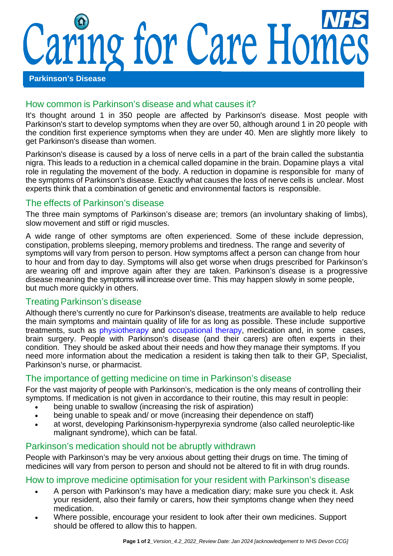# Caring for Care Homes

### **Parkinson's Disease**

### How common is Parkinson's disease and what causes it?

It's thought around 1 in 350 people are affected by Parkinson's disease. Most people with Parkinson's start to develop symptoms when they are over 50, although around 1 in 20 people with the condition first experience symptoms when they are under 40. Men are slightly more likely to get Parkinson's disease than women.

Parkinson's disease is caused by a loss of nerve cells in a part of the brain called the substantia nigra. This leads to a reduction in a chemical called dopamine in the brain. Dopamine plays a vital role in regulating the movement of the body. A reduction in dopamine is responsible for many of the symptoms of Parkinson's disease. Exactly what causes the loss of nerve cells is unclear. Most experts think that a combination of genetic and environmental factors is responsible.

## The effects of Parkinson's disease

The three main symptoms of Parkinson's disease are; tremors (an involuntary shaking of limbs), slow movement and stiff or rigid muscles.

A wide range of other symptoms are often experienced. Some of these include depression, constipation, problems sleeping, memory problems and tiredness. The range and severity of symptoms will vary from person to person. How symptoms affect a person can change from hour to hour and from day to day. Symptoms will also get worse when drugs prescribed for Parkinson's are wearing off and improve again after they are taken. Parkinson's disease is a progressive disease meaning the symptoms will increase over time. This may happen slowly in some people, but much more quickly in others.

### Treating Parkinson's disease

Although there's currently no cure for Parkinson's disease, treatments are available to help reduce the main symptoms and maintain quality of life for as long as possible. These include supportive treatments, such as [physiotherapy](https://www.nhs.uk/conditions/physiotherapy/) and [occupational](https://www.nhs.uk/conditions/occupational-therapy/) therapy, medication and, in some cases, brain surgery. People with Parkinson's disease (and their carers) are often experts in their condition. They should be asked about their needs and how they manage their symptoms. If you need more information about the medication a resident is taking then talk to their GP, Specialist, Parkinson's nurse, or pharmacist.

### The importance of getting medicine on time in Parkinson's disease

For the vast majority of people with Parkinson's, medication is the only means of controlling their symptoms. If medication is not given in accordance to their routine, this may result in people:

- being unable to swallow (increasing the risk of aspiration)
- being unable to speak and/ or move (increasing their dependence on staff)
- at worst, developing Parkinsonism-hyperpyrexia syndrome (also called neuroleptic-like malignant syndrome), which can be fatal.

### Parkinson's medication should not be abruptly withdrawn

People with Parkinson's may be very anxious about getting their drugs on time. The timing of medicines will vary from person to person and should not be altered to fit in with drug rounds.

# How to improve medicine optimisation for your resident with Parkinson's disease

- A person with Parkinson's may have a medication diary; make sure you check it. Ask your resident, also their family or carers, how their symptoms change when they need medication.
- Where possible, encourage your resident to look after their own medicines. Support should be offered to allow this to happen.